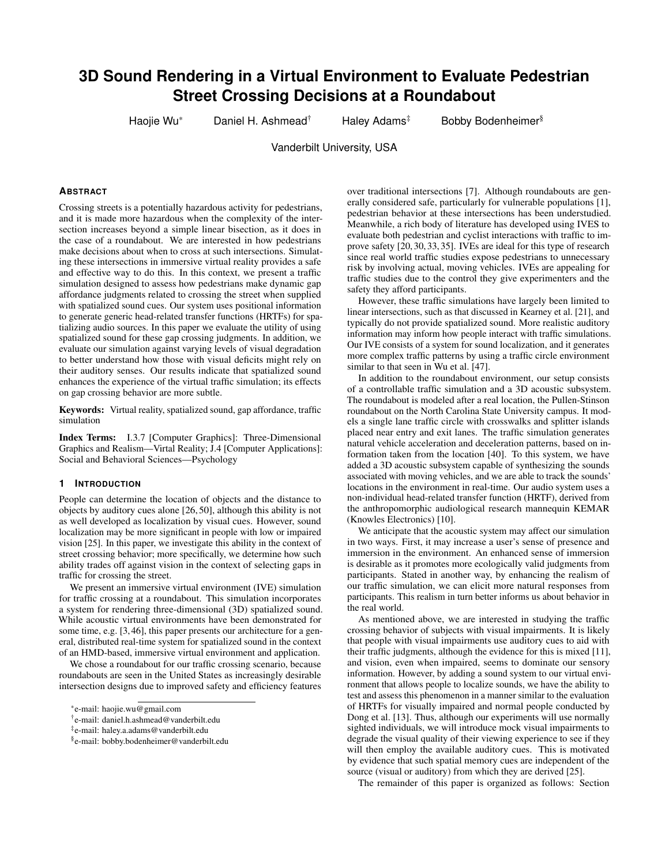# **3D Sound Rendering in a Virtual Environment to Evaluate Pedestrian Street Crossing Decisions at a Roundabout**

Haojie Wu\* Daniel H. Ashmead<sup>†</sup> Haley Adams<sup>‡</sup> Bobby Bodenheimer<sup>§</sup>

Vanderbilt University, USA

### **ABSTRACT**

Crossing streets is a potentially hazardous activity for pedestrians, and it is made more hazardous when the complexity of the intersection increases beyond a simple linear bisection, as it does in the case of a roundabout. We are interested in how pedestrians make decisions about when to cross at such intersections. Simulating these intersections in immersive virtual reality provides a safe and effective way to do this. In this context, we present a traffic simulation designed to assess how pedestrians make dynamic gap affordance judgments related to crossing the street when supplied with spatialized sound cues. Our system uses positional information to generate generic head-related transfer functions (HRTFs) for spatializing audio sources. In this paper we evaluate the utility of using spatialized sound for these gap crossing judgments. In addition, we evaluate our simulation against varying levels of visual degradation to better understand how those with visual deficits might rely on their auditory senses. Our results indicate that spatialized sound enhances the experience of the virtual traffic simulation; its effects on gap crossing behavior are more subtle.

Keywords: Virtual reality, spatialized sound, gap affordance, traffic simulation

Index Terms: I.3.7 [Computer Graphics]: Three-Dimensional Graphics and Realism—Virtal Reality; J.4 [Computer Applications]: Social and Behavioral Sciences—Psychology

#### **1 INTRODUCTION**

People can determine the location of objects and the distance to objects by auditory cues alone [26, 50], although this ability is not as well developed as localization by visual cues. However, sound localization may be more significant in people with low or impaired vision [25]. In this paper, we investigate this ability in the context of street crossing behavior; more specifically, we determine how such ability trades off against vision in the context of selecting gaps in traffic for crossing the street.

We present an immersive virtual environment (IVE) simulation for traffic crossing at a roundabout. This simulation incorporates a system for rendering three-dimensional (3D) spatialized sound. While acoustic virtual environments have been demonstrated for some time, e.g. [3, 46], this paper presents our architecture for a general, distributed real-time system for spatialized sound in the context of an HMD-based, immersive virtual environment and application.

We chose a roundabout for our traffic crossing scenario, because roundabouts are seen in the United States as increasingly desirable intersection designs due to improved safety and efficiency features

over traditional intersections [7]. Although roundabouts are generally considered safe, particularly for vulnerable populations [1], pedestrian behavior at these intersections has been understudied. Meanwhile, a rich body of literature has developed using IVES to evaluate both pedestrian and cyclist interactions with traffic to improve safety [20, 30, 33, 35]. IVEs are ideal for this type of research since real world traffic studies expose pedestrians to unnecessary risk by involving actual, moving vehicles. IVEs are appealing for traffic studies due to the control they give experimenters and the safety they afford participants.

However, these traffic simulations have largely been limited to linear intersections, such as that discussed in Kearney et al. [21], and typically do not provide spatialized sound. More realistic auditory information may inform how people interact with traffic simulations. Our IVE consists of a system for sound localization, and it generates more complex traffic patterns by using a traffic circle environment similar to that seen in Wu et al. [47].

In addition to the roundabout environment, our setup consists of a controllable traffic simulation and a 3D acoustic subsystem. The roundabout is modeled after a real location, the Pullen-Stinson roundabout on the North Carolina State University campus. It models a single lane traffic circle with crosswalks and splitter islands placed near entry and exit lanes. The traffic simulation generates natural vehicle acceleration and deceleration patterns, based on information taken from the location [40]. To this system, we have added a 3D acoustic subsystem capable of synthesizing the sounds associated with moving vehicles, and we are able to track the sounds' locations in the environment in real-time. Our audio system uses a non-individual head-related transfer function (HRTF), derived from the anthropomorphic audiological research mannequin KEMAR (Knowles Electronics) [10].

We anticipate that the acoustic system may affect our simulation in two ways. First, it may increase a user's sense of presence and immersion in the environment. An enhanced sense of immersion is desirable as it promotes more ecologically valid judgments from participants. Stated in another way, by enhancing the realism of our traffic simulation, we can elicit more natural responses from participants. This realism in turn better informs us about behavior in the real world.

As mentioned above, we are interested in studying the traffic crossing behavior of subjects with visual impairments. It is likely that people with visual impairments use auditory cues to aid with their traffic judgments, although the evidence for this is mixed [11], and vision, even when impaired, seems to dominate our sensory information. However, by adding a sound system to our virtual environment that allows people to localize sounds, we have the ability to test and assess this phenomenon in a manner similar to the evaluation of HRTFs for visually impaired and normal people conducted by Dong et al. [13]. Thus, although our experiments will use normally sighted individuals, we will introduce mock visual impairments to degrade the visual quality of their viewing experience to see if they will then employ the available auditory cues. This is motivated by evidence that such spatial memory cues are independent of the source (visual or auditory) from which they are derived [25].

The remainder of this paper is organized as follows: Section

<sup>\*</sup>e-mail: haojie.wu@gmail.com

<sup>†</sup> e-mail: daniel.h.ashmead@vanderbilt.edu

<sup>‡</sup> e-mail: haley.a.adams@vanderbilt.edu

<sup>§</sup> e-mail: bobby.bodenheimer@vanderbilt.edu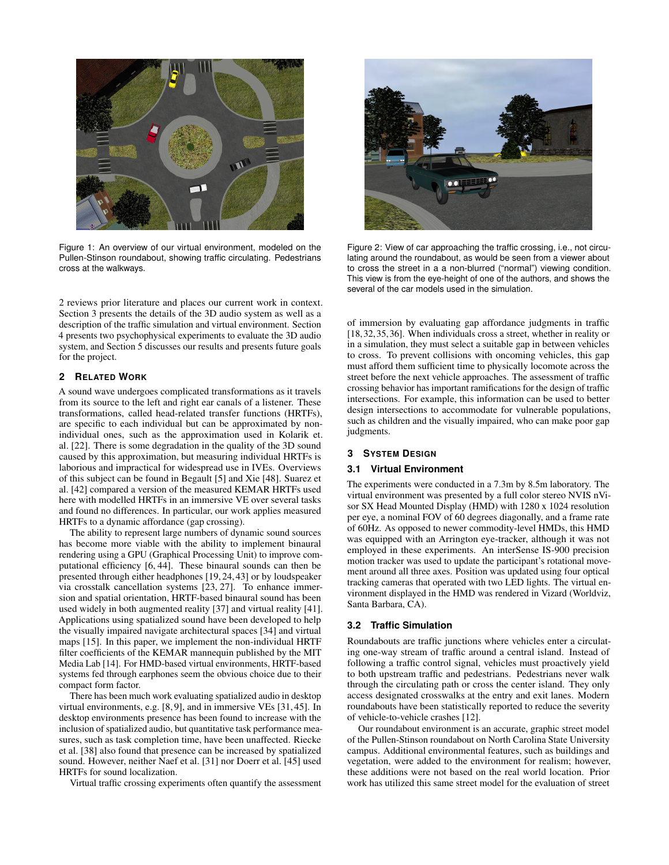

Figure 1: An overview of our virtual environment, modeled on the Pullen-Stinson roundabout, showing traffic circulating. Pedestrians cross at the walkways.

2 reviews prior literature and places our current work in context. Section 3 presents the details of the 3D audio system as well as a description of the traffic simulation and virtual environment. Section 4 presents two psychophysical experiments to evaluate the 3D audio system, and Section 5 discusses our results and presents future goals for the project.

### **2 RELATED WORK**

A sound wave undergoes complicated transformations as it travels from its source to the left and right ear canals of a listener. These transformations, called head-related transfer functions (HRTFs), are specific to each individual but can be approximated by nonindividual ones, such as the approximation used in Kolarik et. al. [22]. There is some degradation in the quality of the 3D sound caused by this approximation, but measuring individual HRTFs is laborious and impractical for widespread use in IVEs. Overviews of this subject can be found in Begault [5] and Xie [48]. Suarez et al. [42] compared a version of the measured KEMAR HRTFs used here with modelled HRTFs in an immersive VE over several tasks and found no differences. In particular, our work applies measured HRTFs to a dynamic affordance (gap crossing).

The ability to represent large numbers of dynamic sound sources has become more viable with the ability to implement binaural rendering using a GPU (Graphical Processing Unit) to improve computational efficiency [6, 44]. These binaural sounds can then be presented through either headphones [19, 24, 43] or by loudspeaker via crosstalk cancellation systems [23, 27]. To enhance immersion and spatial orientation, HRTF-based binaural sound has been used widely in both augmented reality [37] and virtual reality [41]. Applications using spatialized sound have been developed to help the visually impaired navigate architectural spaces [34] and virtual maps [15]. In this paper, we implement the non-individual HRTF filter coefficients of the KEMAR mannequin published by the MIT Media Lab [14]. For HMD-based virtual environments, HRTF-based systems fed through earphones seem the obvious choice due to their compact form factor.

There has been much work evaluating spatialized audio in desktop virtual environments, e.g. [8, 9], and in immersive VEs [31, 45]. In desktop environments presence has been found to increase with the inclusion of spatialized audio, but quantitative task performance measures, such as task completion time, have been unaffected. Riecke et al. [38] also found that presence can be increased by spatialized sound. However, neither Naef et al. [31] nor Doerr et al. [45] used HRTFs for sound localization.

Virtual traffic crossing experiments often quantify the assessment



Figure 2: View of car approaching the traffic crossing, i.e., not circulating around the roundabout, as would be seen from a viewer about to cross the street in a a non-blurred ("normal") viewing condition. This view is from the eye-height of one of the authors, and shows the several of the car models used in the simulation.

of immersion by evaluating gap affordance judgments in traffic [18, 32, 35, 36]. When individuals cross a street, whether in reality or in a simulation, they must select a suitable gap in between vehicles to cross. To prevent collisions with oncoming vehicles, this gap must afford them sufficient time to physically locomote across the street before the next vehicle approaches. The assessment of traffic crossing behavior has important ramifications for the design of traffic intersections. For example, this information can be used to better design intersections to accommodate for vulnerable populations, such as children and the visually impaired, who can make poor gap judgments.

# **3 SYSTEM DESIGN**

#### **3.1 Virtual Environment**

The experiments were conducted in a 7.3m by 8.5m laboratory. The virtual environment was presented by a full color stereo NVIS nVisor SX Head Mounted Display (HMD) with 1280 x 1024 resolution per eye, a nominal FOV of 60 degrees diagonally, and a frame rate of 60Hz. As opposed to newer commodity-level HMDs, this HMD was equipped with an Arrington eye-tracker, although it was not employed in these experiments. An interSense IS-900 precision motion tracker was used to update the participant's rotational movement around all three axes. Position was updated using four optical tracking cameras that operated with two LED lights. The virtual environment displayed in the HMD was rendered in Vizard (Worldviz, Santa Barbara, CA).

# **3.2 Traffic Simulation**

Roundabouts are traffic junctions where vehicles enter a circulating one-way stream of traffic around a central island. Instead of following a traffic control signal, vehicles must proactively yield to both upstream traffic and pedestrians. Pedestrians never walk through the circulating path or cross the center island. They only access designated crosswalks at the entry and exit lanes. Modern roundabouts have been statistically reported to reduce the severity of vehicle-to-vehicle crashes [12].

Our roundabout environment is an accurate, graphic street model of the Pullen-Stinson roundabout on North Carolina State University campus. Additional environmental features, such as buildings and vegetation, were added to the environment for realism; however, these additions were not based on the real world location. Prior work has utilized this same street model for the evaluation of street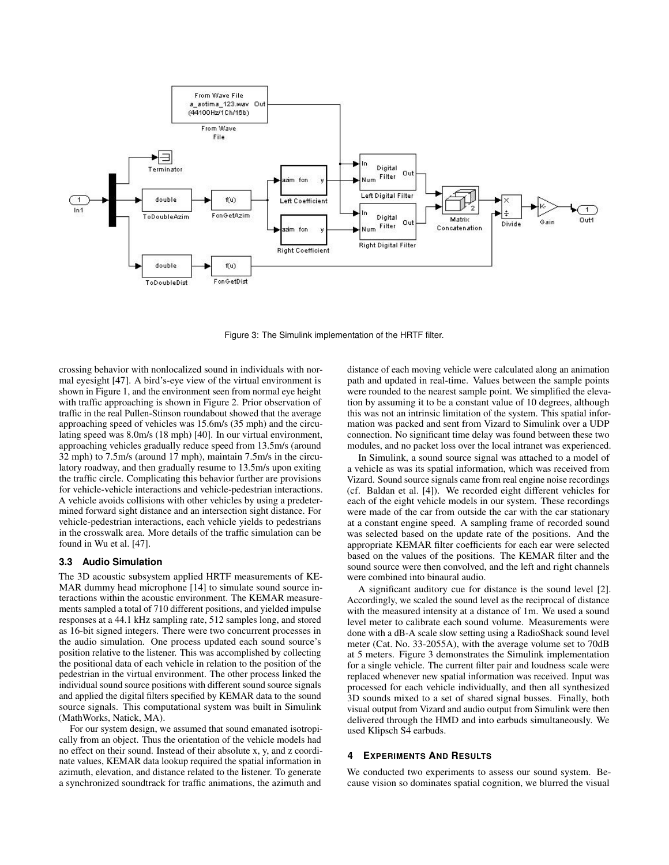

Figure 3: The Simulink implementation of the HRTF filter.

crossing behavior with nonlocalized sound in individuals with normal eyesight [47]. A bird's-eye view of the virtual environment is shown in Figure 1, and the environment seen from normal eye height with traffic approaching is shown in Figure 2. Prior observation of traffic in the real Pullen-Stinson roundabout showed that the average approaching speed of vehicles was 15.6m/s (35 mph) and the circulating speed was 8.0m/s (18 mph) [40]. In our virtual environment, approaching vehicles gradually reduce speed from 13.5m/s (around 32 mph) to 7.5m/s (around 17 mph), maintain 7.5m/s in the circulatory roadway, and then gradually resume to 13.5m/s upon exiting the traffic circle. Complicating this behavior further are provisions for vehicle-vehicle interactions and vehicle-pedestrian interactions. A vehicle avoids collisions with other vehicles by using a predetermined forward sight distance and an intersection sight distance. For vehicle-pedestrian interactions, each vehicle yields to pedestrians in the crosswalk area. More details of the traffic simulation can be found in Wu et al. [47].

#### **3.3 Audio Simulation**

The 3D acoustic subsystem applied HRTF measurements of KE-MAR dummy head microphone [14] to simulate sound source interactions within the acoustic environment. The KEMAR measurements sampled a total of 710 different positions, and yielded impulse responses at a 44.1 kHz sampling rate, 512 samples long, and stored as 16-bit signed integers. There were two concurrent processes in the audio simulation. One process updated each sound source's position relative to the listener. This was accomplished by collecting the positional data of each vehicle in relation to the position of the pedestrian in the virtual environment. The other process linked the individual sound source positions with different sound source signals and applied the digital filters specified by KEMAR data to the sound source signals. This computational system was built in Simulink (MathWorks, Natick, MA).

For our system design, we assumed that sound emanated isotropically from an object. Thus the orientation of the vehicle models had no effect on their sound. Instead of their absolute x, y, and z coordinate values, KEMAR data lookup required the spatial information in azimuth, elevation, and distance related to the listener. To generate a synchronized soundtrack for traffic animations, the azimuth and

distance of each moving vehicle were calculated along an animation path and updated in real-time. Values between the sample points were rounded to the nearest sample point. We simplified the elevation by assuming it to be a constant value of 10 degrees, although this was not an intrinsic limitation of the system. This spatial information was packed and sent from Vizard to Simulink over a UDP connection. No significant time delay was found between these two modules, and no packet loss over the local intranet was experienced.

In Simulink, a sound source signal was attached to a model of a vehicle as was its spatial information, which was received from Vizard. Sound source signals came from real engine noise recordings (cf. Baldan et al. [4]). We recorded eight different vehicles for each of the eight vehicle models in our system. These recordings were made of the car from outside the car with the car stationary at a constant engine speed. A sampling frame of recorded sound was selected based on the update rate of the positions. And the appropriate KEMAR filter coefficients for each ear were selected based on the values of the positions. The KEMAR filter and the sound source were then convolved, and the left and right channels were combined into binaural audio.

A significant auditory cue for distance is the sound level [2]. Accordingly, we scaled the sound level as the reciprocal of distance with the measured intensity at a distance of 1m. We used a sound level meter to calibrate each sound volume. Measurements were done with a dB-A scale slow setting using a RadioShack sound level meter (Cat. No. 33-2055A), with the average volume set to 70dB at 5 meters. Figure 3 demonstrates the Simulink implementation for a single vehicle. The current filter pair and loudness scale were replaced whenever new spatial information was received. Input was processed for each vehicle individually, and then all synthesized 3D sounds mixed to a set of shared signal busses. Finally, both visual output from Vizard and audio output from Simulink were then delivered through the HMD and into earbuds simultaneously. We used Klipsch S4 earbuds.

## **4 EXPERIMENTS AND RESULTS**

We conducted two experiments to assess our sound system. Because vision so dominates spatial cognition, we blurred the visual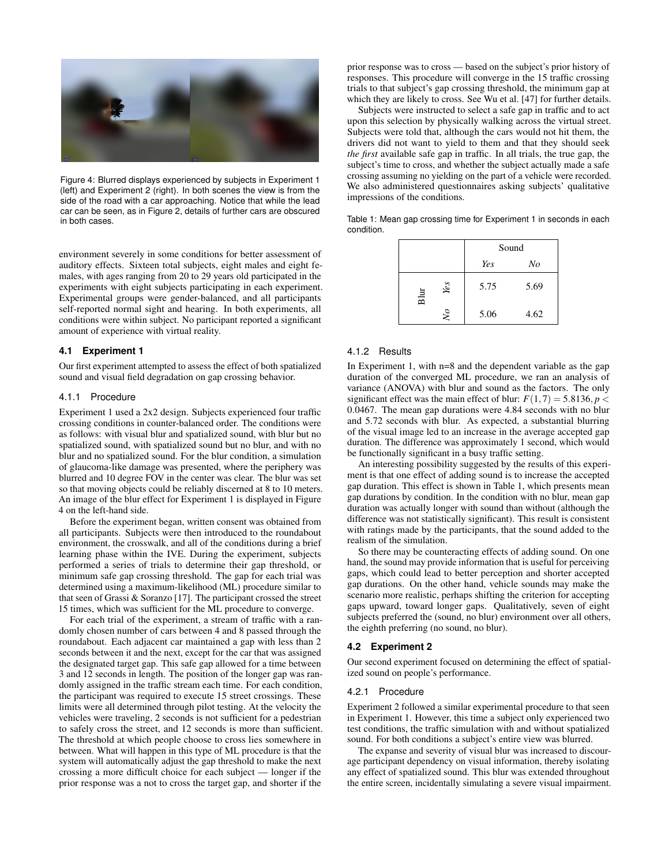

Figure 4: Blurred displays experienced by subjects in Experiment 1 (left) and Experiment 2 (right). In both scenes the view is from the side of the road with a car approaching. Notice that while the lead car can be seen, as in Figure 2, details of further cars are obscured in both cases.

environment severely in some conditions for better assessment of auditory effects. Sixteen total subjects, eight males and eight females, with ages ranging from 20 to 29 years old participated in the experiments with eight subjects participating in each experiment. Experimental groups were gender-balanced, and all participants self-reported normal sight and hearing. In both experiments, all conditions were within subject. No participant reported a significant amount of experience with virtual reality.

#### **4.1 Experiment 1**

Our first experiment attempted to assess the effect of both spatialized sound and visual field degradation on gap crossing behavior.

#### 4.1.1 Procedure

Experiment 1 used a 2x2 design. Subjects experienced four traffic crossing conditions in counter-balanced order. The conditions were as follows: with visual blur and spatialized sound, with blur but no spatialized sound, with spatialized sound but no blur, and with no blur and no spatialized sound. For the blur condition, a simulation of glaucoma-like damage was presented, where the periphery was blurred and 10 degree FOV in the center was clear. The blur was set so that moving objects could be reliably discerned at 8 to 10 meters. An image of the blur effect for Experiment 1 is displayed in Figure 4 on the left-hand side.

Before the experiment began, written consent was obtained from all participants. Subjects were then introduced to the roundabout environment, the crosswalk, and all of the conditions during a brief learning phase within the IVE. During the experiment, subjects performed a series of trials to determine their gap threshold, or minimum safe gap crossing threshold. The gap for each trial was determined using a maximum-likelihood (ML) procedure similar to that seen of Grassi & Soranzo [17]. The participant crossed the street 15 times, which was sufficient for the ML procedure to converge.

For each trial of the experiment, a stream of traffic with a randomly chosen number of cars between 4 and 8 passed through the roundabout. Each adjacent car maintained a gap with less than 2 seconds between it and the next, except for the car that was assigned the designated target gap. This safe gap allowed for a time between 3 and 12 seconds in length. The position of the longer gap was randomly assigned in the traffic stream each time. For each condition, the participant was required to execute 15 street crossings. These limits were all determined through pilot testing. At the velocity the vehicles were traveling, 2 seconds is not sufficient for a pedestrian to safely cross the street, and 12 seconds is more than sufficient. The threshold at which people choose to cross lies somewhere in between. What will happen in this type of ML procedure is that the system will automatically adjust the gap threshold to make the next crossing a more difficult choice for each subject — longer if the prior response was a not to cross the target gap, and shorter if the

prior response was to cross — based on the subject's prior history of responses. This procedure will converge in the 15 traffic crossing trials to that subject's gap crossing threshold, the minimum gap at which they are likely to cross. See Wu et al. [47] for further details.

Subjects were instructed to select a safe gap in traffic and to act upon this selection by physically walking across the virtual street. Subjects were told that, although the cars would not hit them, the drivers did not want to yield to them and that they should seek *the first* available safe gap in traffic. In all trials, the true gap, the subject's time to cross, and whether the subject actually made a safe crossing assuming no yielding on the part of a vehicle were recorded. We also administered questionnaires asking subjects' qualitative impressions of the conditions.

Table 1: Mean gap crossing time for Experiment 1 in seconds in each condition.

|             |      | Sound |  |
|-------------|------|-------|--|
|             | Yes  | No    |  |
| Yes<br>Blur | 5.75 | 5.69  |  |
| $\sqrt{6}$  | 5.06 | 4.62  |  |

#### 4.1.2 Results

In Experiment 1, with n=8 and the dependent variable as the gap duration of the converged ML procedure, we ran an analysis of variance (ANOVA) with blur and sound as the factors. The only significant effect was the main effect of blur:  $F(1,7) = 5.8136$ ,  $p <$ 0.0467. The mean gap durations were 4.84 seconds with no blur and 5.72 seconds with blur. As expected, a substantial blurring of the visual image led to an increase in the average accepted gap duration. The difference was approximately 1 second, which would be functionally significant in a busy traffic setting.

An interesting possibility suggested by the results of this experiment is that one effect of adding sound is to increase the accepted gap duration. This effect is shown in Table 1, which presents mean gap durations by condition. In the condition with no blur, mean gap duration was actually longer with sound than without (although the difference was not statistically significant). This result is consistent with ratings made by the participants, that the sound added to the realism of the simulation.

So there may be counteracting effects of adding sound. On one hand, the sound may provide information that is useful for perceiving gaps, which could lead to better perception and shorter accepted gap durations. On the other hand, vehicle sounds may make the scenario more realistic, perhaps shifting the criterion for accepting gaps upward, toward longer gaps. Qualitatively, seven of eight subjects preferred the (sound, no blur) environment over all others, the eighth preferring (no sound, no blur).

#### **4.2 Experiment 2**

Our second experiment focused on determining the effect of spatialized sound on people's performance.

#### 4.2.1 Procedure

Experiment 2 followed a similar experimental procedure to that seen in Experiment 1. However, this time a subject only experienced two test conditions, the traffic simulation with and without spatialized sound. For both conditions a subject's entire view was blurred.

The expanse and severity of visual blur was increased to discourage participant dependency on visual information, thereby isolating any effect of spatialized sound. This blur was extended throughout the entire screen, incidentally simulating a severe visual impairment.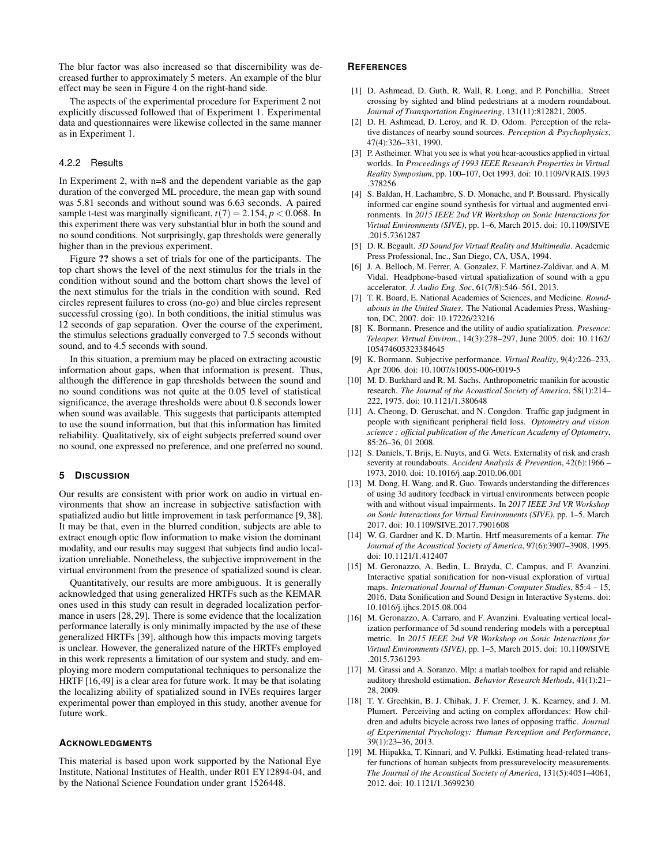The blur factor was also increased so that discernibility was decreased further to approximately 5 meters. An example of the blur effect may be seen in Figure 4 on the right-hand side.

The aspects of the experimental procedure for Experiment 2 not explicitly discussed followed that of Experiment 1. Experimental data and questionnaires were likewise collected in the same manner as in Experiment 1.

#### 4.2.2 Results

In Experiment 2, with n=8 and the dependent variable as the gap duration of the converged ML procedure, the mean gap with sound was 5.81 seconds and without sound was 6.63 seconds. A paired sample t-test was marginally significant,  $t(7) = 2.154$ ,  $p < 0.068$ . In this experiment there was very substantial blur in both the sound and no sound conditions. Not surprisingly, gap thresholds were generally higher than in the previous experiment.

Figure ?? shows a set of trials for one of the participants. The top chart shows the level of the next stimulus for the trials in the condition without sound and the bottom chart shows the level of the next stimulus for the trials in the condition with sound. Red circles represent failures to cross (no-go) and blue circles represent successful crossing (go). In both conditions, the initial stimulus was 12 seconds of gap separation. Over the course of the experiment, the stimulus selections gradually converged to 7.5 seconds without sound, and to 4.5 seconds with sound.

In this situation, a premium may be placed on extracting acoustic information about gaps, when that information is present. Thus, although the difference in gap thresholds between the sound and no sound conditions was not quite at the 0.05 level of statistical significance, the average thresholds were about 0.8 seconds lower when sound was available. This suggests that participants attempted to use the sound information, but that this information has limited reliability. Qualitatively, six of eight subjects preferred sound over no sound, one expressed no preference, and one preferred no sound.

# **5 DISCUSSION**

Our results are consistent with prior work on audio in virtual environments that show an increase in subjective satisfaction with spatialized audio but little improvement in task performance [9, 38]. It may be that, even in the blurred condition, subjects are able to extract enough optic flow information to make vision the dominant modality, and our results may suggest that subjects find audio localization unreliable. Nonetheless, the subjective improvement in the virtual environment from the presence of spatialized sound is clear.

Quantitatively, our results are more ambiguous. It is generally acknowledged that using generalized HRTFs such as the KEMAR ones used in this study can result in degraded localization performance in users [28, 29]. There is some evidence that the localization performance laterally is only minimally impacted by the use of these generalized HRTFs [39], although how this impacts moving targets is unclear. However, the generalized nature of the HRTFs employed in this work represents a limitation of our system and study, and employing more modern computational techniques to personalize the HRTF [16,49] is a clear area for future work. It may be that isolating the localizing ability of spatialized sound in IVEs requires larger experimental power than employed in this study, another avenue for future work.

#### **ACKNOWLEDGMENTS**

This material is based upon work supported by the National Eye Institute, National Institutes of Health, under R01 EY12894-04, and by the National Science Foundation under grant 1526448.

# **REFERENCES**

- [1] D. Ashmead, D. Guth, R. Wall, R. Long, and P. Ponchillia. Street crossing by sighted and blind pedestrians at a modern roundabout. *Journal of Transportation Engineering*, 131(11):812821, 2005.
- [2] D. H. Ashmead, D. Leroy, and R. D. Odom. Perception of the relative distances of nearby sound sources. *Perception & Psychophysics*, 47(4):326–331, 1990.
- [3] P. Astheimer. What you see is what you hear-acoustics applied in virtual worlds. In *Proceedings of 1993 IEEE Research Properties in Virtual Reality Symposium*, pp. 100–107, Oct 1993. doi: 10.1109/VRAIS.1993 .378256
- [4] S. Baldan, H. Lachambre, S. D. Monache, and P. Boussard. Physically informed car engine sound synthesis for virtual and augmented environments. In *2015 IEEE 2nd VR Workshop on Sonic Interactions for Virtual Environments (SIVE)*, pp. 1–6, March 2015. doi: 10.1109/SIVE .2015.7361287
- [5] D. R. Begault. *3D Sound for Virtual Reality and Multimedia*. Academic Press Professional, Inc., San Diego, CA, USA, 1994.
- [6] J. A. Belloch, M. Ferrer, A. Gonzalez, F. Martinez-Zaldivar, and A. M. Vidal. Headphone-based virtual spatialization of sound with a gpu accelerator. *J. Audio Eng. Soc*, 61(7/8):546–561, 2013.
- [7] T. R. Board, E. National Academies of Sciences, and Medicine. *Roundabouts in the United States*. The National Academies Press, Washington, DC, 2007. doi: 10.17226/23216
- [8] K. Bormann. Presence and the utility of audio spatialization. *Presence: Teleoper. Virtual Environ.*, 14(3):278–297, June 2005. doi: 10.1162/ 105474605323384645
- [9] K. Bormann. Subjective performance. *Virtual Reality*, 9(4):226–233, Apr 2006. doi: 10.1007/s10055-006-0019-5
- [10] M. D. Burkhard and R. M. Sachs. Anthropometric manikin for acoustic research. *The Journal of the Acoustical Society of America*, 58(1):214– 222, 1975. doi: 10.1121/1.380648
- [11] A. Cheong, D. Geruschat, and N. Congdon. Traffic gap judgment in people with significant peripheral field loss. *Optometry and vision science : official publication of the American Academy of Optometry*, 85:26–36, 01 2008.
- [12] S. Daniels, T. Brijs, E. Nuyts, and G. Wets. Externality of risk and crash severity at roundabouts. *Accident Analysis & Prevention*, 42(6):1966 – 1973, 2010. doi: 10.1016/j.aap.2010.06.001
- [13] M. Dong, H. Wang, and R. Guo. Towards understanding the differences of using 3d auditory feedback in virtual environments between people with and without visual impairments. In *2017 IEEE 3rd VR Workshop on Sonic Interactions for Virtual Environments (SIVE)*, pp. 1–5, March 2017. doi: 10.1109/SIVE.2017.7901608
- [14] W. G. Gardner and K. D. Martin. Hrtf measurements of a kemar. *The Journal of the Acoustical Society of America*, 97(6):3907–3908, 1995. doi: 10.1121/1.412407
- [15] M. Geronazzo, A. Bedin, L. Brayda, C. Campus, and F. Avanzini. Interactive spatial sonification for non-visual exploration of virtual maps. *International Journal of Human-Computer Studies*, 85:4 – 15, 2016. Data Sonification and Sound Design in Interactive Systems. doi: 10.1016/j.ijhcs.2015.08.004
- [16] M. Geronazzo, A. Carraro, and F. Avanzini. Evaluating vertical localization performance of 3d sound rendering models with a perceptual metric. In *2015 IEEE 2nd VR Workshop on Sonic Interactions for Virtual Environments (SIVE)*, pp. 1–5, March 2015. doi: 10.1109/SIVE .2015.7361293
- [17] M. Grassi and A. Soranzo. Mlp: a matlab toolbox for rapid and reliable auditory threshold estimation. *Behavior Research Methods*, 41(1):21– 28, 2009.
- [18] T. Y. Grechkin, B. J. Chihak, J. F. Cremer, J. K. Kearney, and J. M. Plumert. Perceiving and acting on complex affordances: How children and adults bicycle across two lanes of opposing traffic. *Journal of Experimental Psychology: Human Perception and Performance*, 39(1):23–36, 2013.
- [19] M. Hiipakka, T. Kinnari, and V. Pulkki. Estimating head-related transfer functions of human subjects from pressurevelocity measurements. *The Journal of the Acoustical Society of America*, 131(5):4051–4061, 2012. doi: 10.1121/1.3699230